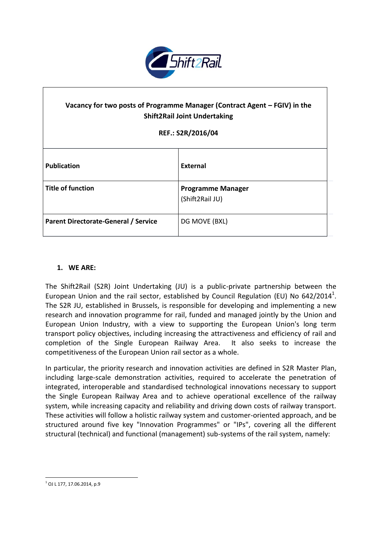

# Vacancy for two posts of Programme Manager (Contract Agent – FGIV) in the **Shift2Rail Joint Undertaking**

#### **REF.: S2R/2016/04**

| <b>Publication</b>                          | External                                    |
|---------------------------------------------|---------------------------------------------|
| <b>Title of function</b>                    | <b>Programme Manager</b><br>(Shift2Rail JU) |
| <b>Parent Directorate-General / Service</b> | DG MOVE (BXL)                               |

#### **1. WE ARE:**

The Shift2Rail (S2R) Joint Undertaking (JU) is a public-private partnership between the European Union and the rail sector, established by Council Regulation (EU) No 642/2014<sup>1</sup>. The S2R JU, established in Brussels, is responsible for developing and implementing a new research and innovation programme for rail, funded and managed jointly by the Union and European Union Industry, with a view to supporting the European Union's long term transport policy objectives, including increasing the attractiveness and efficiency of rail and completion of the Single European Railway Area. It also seeks to increase the competitiveness of the European Union rail sector as a whole.

In particular, the priority research and innovation activities are defined in S2R Master Plan, including large-scale demonstration activities, required to accelerate the penetration of integrated, interoperable and standardised technological innovations necessary to support the Single European Railway Area and to achieve operational excellence of the railway system, while increasing capacity and reliability and driving down costs of railway transport. These activities will follow a holistic railway system and customer-oriented approach, and be structured around five key "Innovation Programmes" or "IPs", covering all the different structural (technical) and functional (management) sub-systems of the rail system, namely:

**.** 

 $1$  OJ L 177, 17.06.2014, p.9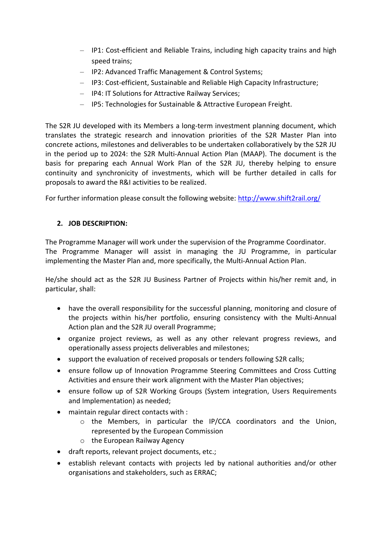- IP1: Cost-efficient and Reliable Trains, including high capacity trains and high speed trains;
- IP2: Advanced Traffic Management & Control Systems;
- IP3: Cost-efficient, Sustainable and Reliable High Capacity Infrastructure;
- IP4: IT Solutions for Attractive Railway Services;
- IP5: Technologies for Sustainable & Attractive European Freight.

The S2R JU developed with its Members a long-term investment planning document, which translates the strategic research and innovation priorities of the S2R Master Plan into concrete actions, milestones and deliverables to be undertaken collaboratively by the S2R JU in the period up to 2024: the S2R Multi-Annual Action Plan (MAAP). The document is the basis for preparing each Annual Work Plan of the S2R JU, thereby helping to ensure continuity and synchronicity of investments, which will be further detailed in calls for proposals to award the R&I activities to be realized.

For further information please consult the following website:<http://www.shift2rail.org/>

# **2. JOB DESCRIPTION:**

The Programme Manager will work under the supervision of the Programme Coordinator. The Programme Manager will assist in managing the JU Programme, in particular implementing the Master Plan and, more specifically, the Multi-Annual Action Plan.

He/she should act as the S2R JU Business Partner of Projects within his/her remit and, in particular, shall:

- have the overall responsibility for the successful planning, monitoring and closure of the projects within his/her portfolio, ensuring consistency with the Multi-Annual Action plan and the S2R JU overall Programme;
- organize project reviews, as well as any other relevant progress reviews, and operationally assess projects deliverables and milestones;
- support the evaluation of received proposals or tenders following S2R calls;
- ensure follow up of Innovation Programme Steering Committees and Cross Cutting Activities and ensure their work alignment with the Master Plan objectives;
- ensure follow up of S2R Working Groups (System integration, Users Requirements and Implementation) as needed;
- maintain regular direct contacts with :
	- o the Members, in particular the IP/CCA coordinators and the Union, represented by the European Commission
	- o the European Railway Agency
- draft reports, relevant project documents, etc.;
- establish relevant contacts with projects led by national authorities and/or other organisations and stakeholders, such as ERRAC;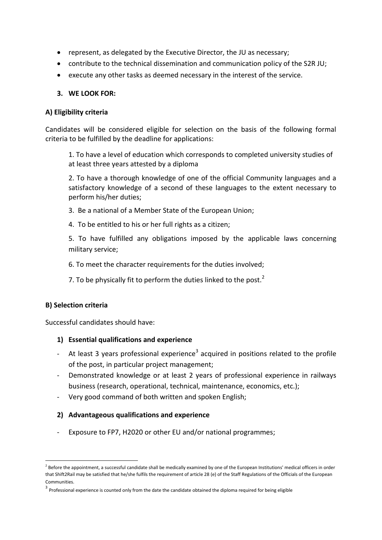- represent, as delegated by the Executive Director, the JU as necessary;
- contribute to the technical dissemination and communication policy of the S2R JU;
- execute any other tasks as deemed necessary in the interest of the service.

#### **3. WE LOOK FOR:**

#### **A) Eligibility criteria**

Candidates will be considered eligible for selection on the basis of the following formal criteria to be fulfilled by the deadline for applications:

1. To have a level of education which corresponds to completed university studies of at least three years attested by a diploma

2. To have a thorough knowledge of one of the official Community languages and a satisfactory knowledge of a second of these languages to the extent necessary to perform his/her duties;

- 3. Be a national of a Member State of the European Union;
- 4. To be entitled to his or her full rights as a citizen;

5. To have fulfilled any obligations imposed by the applicable laws concerning military service;

6. To meet the character requirements for the duties involved;

7. To be physically fit to perform the duties linked to the post. $<sup>2</sup>$ </sup>

#### **B) Selection criteria**

1

Successful candidates should have:

#### **1) Essential qualifications and experience**

- At least 3 years professional experience<sup>3</sup> acquired in positions related to the profile of the post, in particular project management;
- Demonstrated knowledge or at least 2 years of professional experience in railways business (research, operational, technical, maintenance, economics, etc.);
- Very good command of both written and spoken English;

#### **2) Advantageous qualifications and experience**

- Exposure to FP7, H2020 or other EU and/or national programmes;

 $^2$  Before the appointment, a successful candidate shall be medically examined by one of the European Institutions' medical officers in order that Shift2Rail may be satisfied that he/she fulfils the requirement of article 28 (e) of the Staff Regulations of the Officials of the European Communities.

<sup>&</sup>lt;sup>3</sup> Professional experience is counted only from the date the candidate obtained the diploma required for being eligible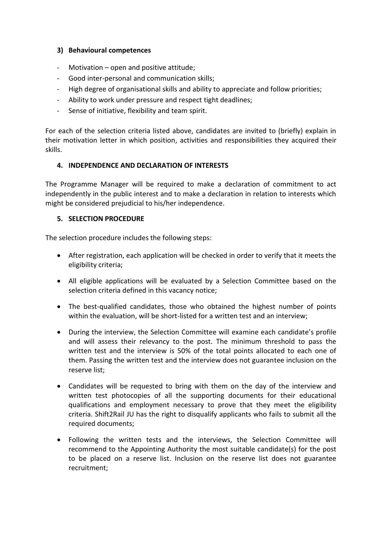### **3) Behavioural competences**

- Motivation open and positive attitude;
- Good inter-personal and communication skills;
- High degree of organisational skills and ability to appreciate and follow priorities;
- Ability to work under pressure and respect tight deadlines;
- Sense of initiative, flexibility and team spirit.

For each of the selection criteria listed above, candidates are invited to (briefly) explain in their motivation letter in which position, activities and responsibilities they acquired their skills.

#### **4. INDEPENDENCE AND DECLARATION OF INTERESTS**

The Programme Manager will be required to make a declaration of commitment to act independently in the public interest and to make a declaration in relation to interests which might be considered prejudicial to his/her independence.

#### **5. SELECTION PROCEDURE**

The selection procedure includes the following steps:

- After registration, each application will be checked in order to verify that it meets the eligibility criteria;
- All eligible applications will be evaluated by a Selection Committee based on the selection criteria defined in this vacancy notice;
- The best-qualified candidates, those who obtained the highest number of points within the evaluation, will be short-listed for a written test and an interview;
- During the interview, the Selection Committee will examine each candidate's profile and will assess their relevancy to the post. The minimum threshold to pass the written test and the interview is 50% of the total points allocated to each one of them. Passing the written test and the interview does not guarantee inclusion on the reserve list;
- Candidates will be requested to bring with them on the day of the interview and written test photocopies of all the supporting documents for their educational qualifications and employment necessary to prove that they meet the eligibility criteria. Shift2Rail JU has the right to disqualify applicants who fails to submit all the required documents;
- Following the written tests and the interviews, the Selection Committee will recommend to the Appointing Authority the most suitable candidate(s) for the post to be placed on a reserve list. Inclusion on the reserve list does not guarantee recruitment;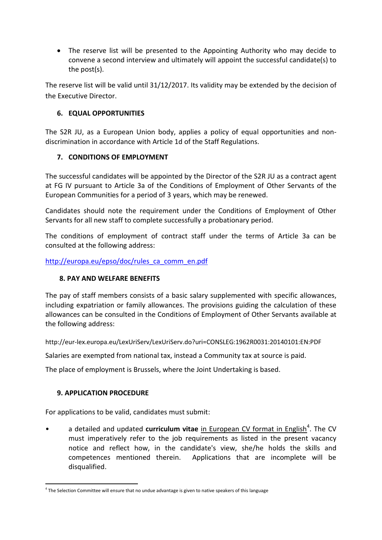The reserve list will be presented to the Appointing Authority who may decide to convene a second interview and ultimately will appoint the successful candidate(s) to the post(s).

The reserve list will be valid until 31/12/2017. Its validity may be extended by the decision of the Executive Director.

# **6. EQUAL OPPORTUNITIES**

The S2R JU, as a European Union body, applies a policy of equal opportunities and nondiscrimination in accordance with Article 1d of the Staff Regulations.

# **7. CONDITIONS OF EMPLOYMENT**

The successful candidates will be appointed by the Director of the S2R JU as a contract agent at FG IV pursuant to Article 3a of the Conditions of Employment of Other Servants of the European Communities for a period of 3 years, which may be renewed.

Candidates should note the requirement under the Conditions of Employment of Other Servants for all new staff to complete successfully a probationary period.

The conditions of employment of contract staff under the terms of Article 3a can be consulted at the following address:

[http://europa.eu/epso/doc/rules\\_ca\\_comm\\_en.pdf](http://europa.eu/epso/doc/rules_ca_comm_en.pdf)

# **8. PAY AND WELFARE BENEFITS**

The pay of staff members consists of a basic salary supplemented with specific allowances, including expatriation or family allowances. The provisions guiding the calculation of these allowances can be consulted in the Conditions of Employment of Other Servants available at the following address:

http://eur-lex.europa.eu/LexUriServ/LexUriServ.do?uri=CONSLEG:1962R0031:20140101:EN:PDF

Salaries are exempted from national tax, instead a Community tax at source is paid.

The place of employment is Brussels, where the Joint Undertaking is based.

# **9. APPLICATION PROCEDURE**

 $\overline{\phantom{a}}$ 

For applications to be valid, candidates must submit:

• a detailed and updated **curriculum vitae** in European CV format in English<sup>4</sup>. The CV must imperatively refer to the job requirements as listed in the present vacancy notice and reflect how, in the candidate's view, she/he holds the skills and competences mentioned therein. Applications that are incomplete will be disqualified.

<sup>&</sup>lt;sup>4</sup> The Selection Committee will ensure that no undue advantage is given to native speakers of this language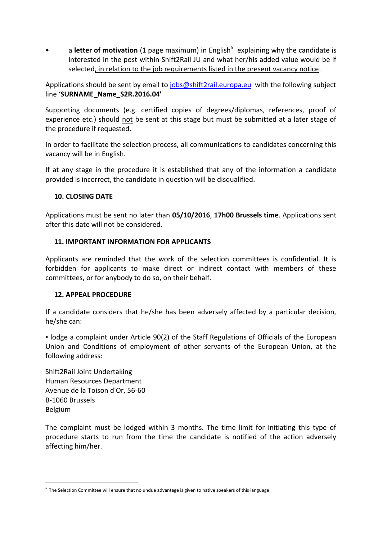• a letter of motivation (1 page maximum) in English<sup>5</sup> explaining why the candidate is interested in the post within Shift2Rail JU and what her/his added value would be if selected, in relation to the job requirements listed in the present vacancy notice.

Applications should be sent by email t[o jobs@shift2rail.europa.eu](mailto:jobs@shift2rail.europa.eu) with the following subject line '**SURNAME\_Name\_S2R.2016.04'**

Supporting documents (e.g. certified copies of degrees/diplomas, references, proof of experience etc.) should not be sent at this stage but must be submitted at a later stage of the procedure if requested.

In order to facilitate the selection process, all communications to candidates concerning this vacancy will be in English.

If at any stage in the procedure it is established that any of the information a candidate provided is incorrect, the candidate in question will be disqualified.

#### **10. CLOSING DATE**

Applications must be sent no later than **05/10/2016**, **17h00 Brussels time**. Applications sent after this date will not be considered.

#### **11. IMPORTANT INFORMATION FOR APPLICANTS**

Applicants are reminded that the work of the selection committees is confidential. It is forbidden for applicants to make direct or indirect contact with members of these committees, or for anybody to do so, on their behalf.

# **12. APPEAL PROCEDURE**

If a candidate considers that he/she has been adversely affected by a particular decision, he/she can:

▪ lodge a complaint under Article 90(2) of the Staff Regulations of Officials of the European Union and Conditions of employment of other servants of the European Union, at the following address:

Shift2Rail Joint Undertaking Human Resources Department Avenue de la Toison d'Or, 56-60 B-1060 Brussels Belgium

**.** 

The complaint must be lodged within 3 months. The time limit for initiating this type of procedure starts to run from the time the candidate is notified of the action adversely affecting him/her.

<sup>&</sup>lt;sup>5</sup> The Selection Committee will ensure that no undue advantage is given to native speakers of this language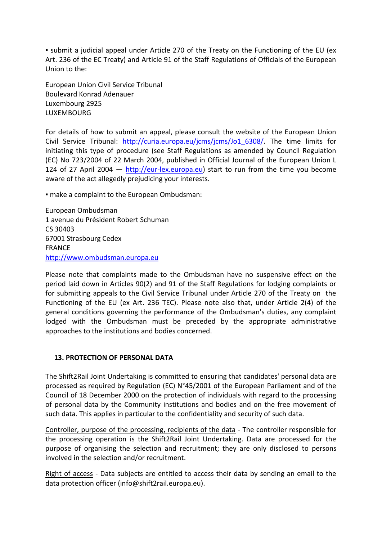▪ submit a judicial appeal under Article 270 of the Treaty on the Functioning of the EU (ex Art. 236 of the EC Treaty) and Article 91 of the Staff Regulations of Officials of the European Union to the:

European Union Civil Service Tribunal Boulevard Konrad Adenauer Luxembourg 2925 LUXEMBOURG

For details of how to submit an appeal, please consult the website of the European Union Civil Service Tribunal: [http://curia.europa.eu/jcms/jcms/Jo1\\_6308/.](http://curia.europa.eu/jcms/jcms/Jo1_6308/) The time limits for initiating this type of procedure (see Staff Regulations as amended by Council Regulation (EC) No 723/2004 of 22 March 2004, published in Official Journal of the European Union L 124 of 27 April 2004  $-$  [http://eur-lex.europa.eu\)](http://eur-lex.europa.eu/) start to run from the time you become aware of the act allegedly prejudicing your interests.

▪ make a complaint to the European Ombudsman:

European Ombudsman 1 avenue du Président Robert Schuman CS 30403 67001 Strasbourg Cedex FRANCE [http://www.ombudsman.europa.eu](http://www.ombudsman.europa.eu/)

Please note that complaints made to the Ombudsman have no suspensive effect on the period laid down in Articles 90(2) and 91 of the Staff Regulations for lodging complaints or for submitting appeals to the Civil Service Tribunal under Article 270 of the Treaty on the Functioning of the EU (ex Art. 236 TEC). Please note also that, under Article 2(4) of the general conditions governing the performance of the Ombudsman's duties, any complaint lodged with the Ombudsman must be preceded by the appropriate administrative approaches to the institutions and bodies concerned.

# **13. PROTECTION OF PERSONAL DATA**

The Shift2Rail Joint Undertaking is committed to ensuring that candidates' personal data are processed as required by Regulation (EC) N°45/2001 of the European Parliament and of the Council of 18 December 2000 on the protection of individuals with regard to the processing of personal data by the Community institutions and bodies and on the free movement of such data. This applies in particular to the confidentiality and security of such data.

Controller, purpose of the processing, recipients of the data - The controller responsible for the processing operation is the Shift2Rail Joint Undertaking. Data are processed for the purpose of organising the selection and recruitment; they are only disclosed to persons involved in the selection and/or recruitment.

Right of access - Data subjects are entitled to access their data by sending an email to the data protection officer (info@shift2rail.europa.eu).